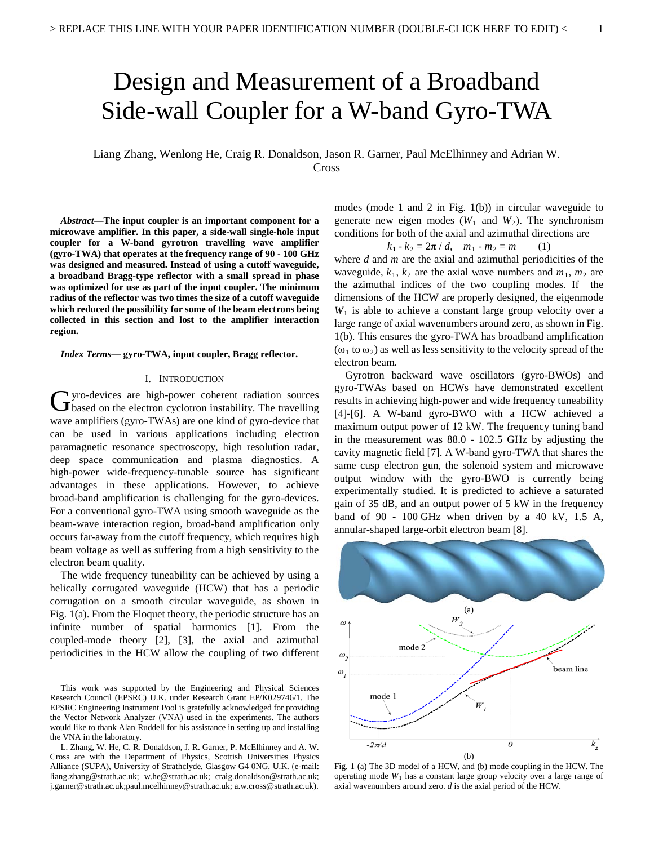# Design and Measurement of a Broadband Side-wall Coupler for a W-band Gyro-TWA

Liang Zhang, Wenlong He, Craig R. Donaldson, Jason R. Garner, Paul McElhinney and Adrian W. Cross

*Abstract***—The input coupler is an important component for a microwave amplifier. In this paper, a side-wall single-hole input coupler for a W-band gyrotron travelling wave amplifier (gyro-TWA) that operates at the frequency range of 90 - 100 GHz was designed and measured. Instead of using a cutoff waveguide, a broadband Bragg-type reflector with a small spread in phase was optimized for use as part of the input coupler. The minimum radius of the reflector was two times the size of a cutoff waveguide which reduced the possibility for some of the beam electrons being collected in this section and lost to the amplifier interaction region.**

*Index Terms***— gyro-TWA, input coupler, Bragg reflector.** 

#### I. INTRODUCTION

yro-devices are high-power coherent radiation sources Gyro-devices are high-power coherent radiation sources<br>
Gbased on the electron cyclotron instability. The travelling wave amplifiers (gyro-TWAs) are one kind of gyro-device that can be used in various applications including electron paramagnetic resonance spectroscopy, high resolution radar, deep space communication and plasma diagnostics. A high-power wide-frequency-tunable source has significant advantages in these applications. However, to achieve broad-band amplification is challenging for the gyro-devices. For a conventional gyro-TWA using smooth waveguide as the beam-wave interaction region, broad-band amplification only occurs far-away from the cutoff frequency, which requires high beam voltage as well as suffering from a high sensitivity to the electron beam quality.

The wide frequency tuneability can be achieved by using a helically corrugated waveguide (HCW) that has a periodic corrugation on a smooth circular waveguide, as shown in Fig. 1(a). From the Floquet theory, the periodic structure has an infinite number of spatial harmonics [1]. From the coupled-mode theory [2], [3], the axial and azimuthal periodicities in the HCW allow the coupling of two different

This work was supported by the Engineering and Physical Sciences Research Council (EPSRC) U.K. under Research Grant EP/K029746/1. The EPSRC Engineering Instrument Pool is gratefully acknowledged for providing the Vector Network Analyzer (VNA) used in the experiments. The authors would like to thank Alan Ruddell for his assistance in setting up and installing the VNA in the laboratory.

L. Zhang, W. He, C. R. Donaldson, J. R. Garner, P. McElhinney and A. W. Cross are with the Department of Physics, Scottish Universities Physics Alliance (SUPA), University of Strathclyde, Glasgow G4 0NG, U.K. (e-mail: liang.zhang@strath.ac.uk; w.he@strath.ac.uk; craig.donaldson@strath.ac.uk; j.garner@strath.ac.uk;paul.mcelhinney@strath.ac.uk; a.w.cross@strath.ac.uk).

modes (mode 1 and 2 in Fig. 1(b)) in circular waveguide to generate new eigen modes  $(W_1$  and  $W_2)$ . The synchronism conditions for both of the axial and azimuthal directions are

$$
k_1 - k_2 = 2\pi / d, \quad m_1 - m_2 = m \qquad (1)
$$

where *d* and *m* are the axial and azimuthal periodicities of the waveguide,  $k_1$ ,  $k_2$  are the axial wave numbers and  $m_1$ ,  $m_2$  are the azimuthal indices of the two coupling modes. If the dimensions of the HCW are properly designed, the eigenmode  $W<sub>1</sub>$  is able to achieve a constant large group velocity over a large range of axial wavenumbers around zero, as shown in Fig. 1(b). This ensures the gyro-TWA has broadband amplification  $(\omega_1$  to  $\omega_2)$  as well as less sensitivity to the velocity spread of the electron beam.

Gyrotron backward wave oscillators (gyro-BWOs) and gyro-TWAs based on HCWs have demonstrated excellent results in achieving high-power and wide frequency tuneability [4]-[6]. A W-band gyro-BWO with a HCW achieved a maximum output power of 12 kW. The frequency tuning band in the measurement was 88.0 - 102.5 GHz by adjusting the cavity magnetic field [7]. A W-band gyro-TWA that shares the same cusp electron gun, the solenoid system and microwave output window with the gyro-BWO is currently being experimentally studied. It is predicted to achieve a saturated gain of 35 dB, and an output power of 5 kW in the frequency band of  $90 - 100$  GHz when driven by a 40 kV, 1.5 A, annular-shaped large-orbit electron beam [8].



Fig. 1 (a) The 3D model of a HCW, and (b) mode coupling in the HCW. The operating mode  $W_1$  has a constant large group velocity over a large range of axial wavenumbers around zero. *d* is the axial period of the HCW.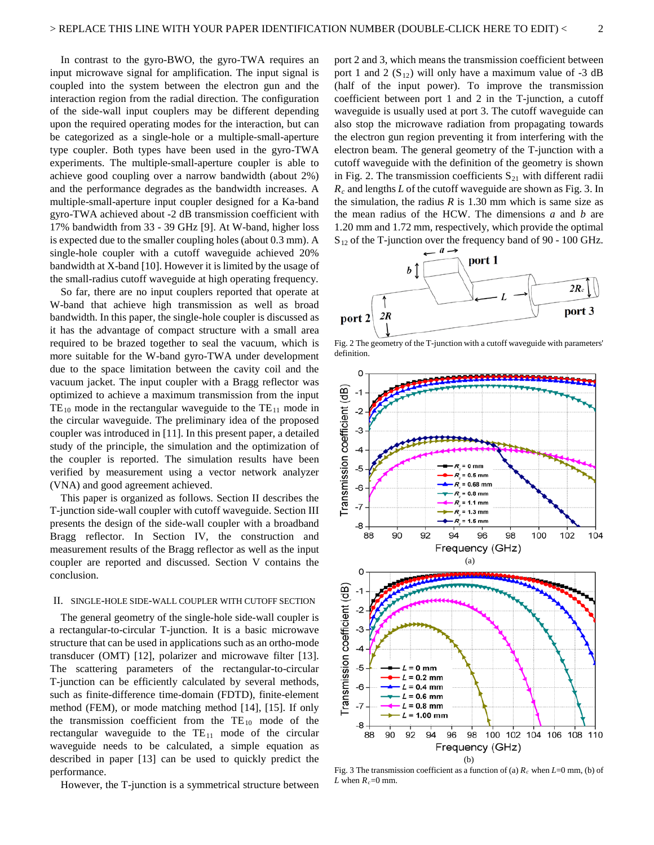In contrast to the gyro-BWO, the gyro-TWA requires an input microwave signal for amplification. The input signal is coupled into the system between the electron gun and the interaction region from the radial direction. The configuration of the side-wall input couplers may be different depending upon the required operating modes for the interaction, but can be categorized as a single-hole or a multiple-small-aperture type coupler. Both types have been used in the gyro-TWA experiments. The multiple-small-aperture coupler is able to achieve good coupling over a narrow bandwidth (about 2%) and the performance degrades as the bandwidth increases. A multiple-small-aperture input coupler designed for a Ka-band gyro-TWA achieved about -2 dB transmission coefficient with 17% bandwidth from 33 - 39 GHz [9]. At W-band, higher loss is expected due to the smaller coupling holes (about 0.3 mm). A single-hole coupler with a cutoff waveguide achieved 20% bandwidth at X-band [10]. However it is limited by the usage of the small-radius cutoff waveguide at high operating frequency.

So far, there are no input couplers reported that operate at W-band that achieve high transmission as well as broad bandwidth. In this paper, the single-hole coupler is discussed as it has the advantage of compact structure with a small area required to be brazed together to seal the vacuum, which is more suitable for the W-band gyro-TWA under development due to the space limitation between the cavity coil and the vacuum jacket. The input coupler with a Bragg reflector was optimized to achieve a maximum transmission from the input  $TE_{10}$  mode in the rectangular waveguide to the  $TE_{11}$  mode in the circular waveguide. The preliminary idea of the proposed coupler was introduced in [11]. In this present paper, a detailed study of the principle, the simulation and the optimization of the coupler is reported. The simulation results have been verified by measurement using a vector network analyzer (VNA) and good agreement achieved.

This paper is organized as follows. Section II describes the T-junction side-wall coupler with cutoff waveguide. Section III presents the design of the side-wall coupler with a broadband Bragg reflector. In Section IV, the construction and measurement results of the Bragg reflector as well as the input coupler are reported and discussed. Section V contains the conclusion.

## II. SINGLE-HOLE SIDE-WALL COUPLER WITH CUTOFF SECTION

The general geometry of the single-hole side-wall coupler is a rectangular-to-circular T-junction. It is a basic microwave structure that can be used in applications such as an ortho-mode transducer (OMT) [12], polarizer and microwave filter [13]. The scattering parameters of the rectangular-to-circular T-junction can be efficiently calculated by several methods, such as finite-difference time-domain (FDTD), finite-element method (FEM), or mode matching method [14], [15]. If only the transmission coefficient from the  $TE_{10}$  mode of the rectangular waveguide to the  $TE_{11}$  mode of the circular waveguide needs to be calculated, a simple equation as described in paper [13] can be used to quickly predict the performance.

However, the T-junction is a symmetrical structure between

port 2 and 3, which means the transmission coefficient between port 1 and 2  $(S_{12})$  will only have a maximum value of -3 dB (half of the input power). To improve the transmission coefficient between port 1 and 2 in the T-junction, a cutoff waveguide is usually used at port 3. The cutoff waveguide can also stop the microwave radiation from propagating towards the electron gun region preventing it from interfering with the electron beam. The general geometry of the T-junction with a cutoff waveguide with the definition of the geometry is shown in Fig. 2. The transmission coefficients  $S_{21}$  with different radii *Rc* and lengths *L* of the cutoff waveguide are shown as Fig. 3. In the simulation, the radius  $R$  is 1.30 mm which is same size as the mean radius of the HCW. The dimensions *a* and *b* are 1.20 mm and 1.72 mm, respectively, which provide the optimal S<sub>12</sub> of the T-junction over the frequency band of 90 - 100 GHz.



Fig. 2 The geometry of the T-junction with a cutoff waveguide with parameters' definition.



Fig. 3 The transmission coefficient as a function of (a)  $R_c$  when  $L=0$  mm, (b) of *L* when  $R_c$ =0 mm.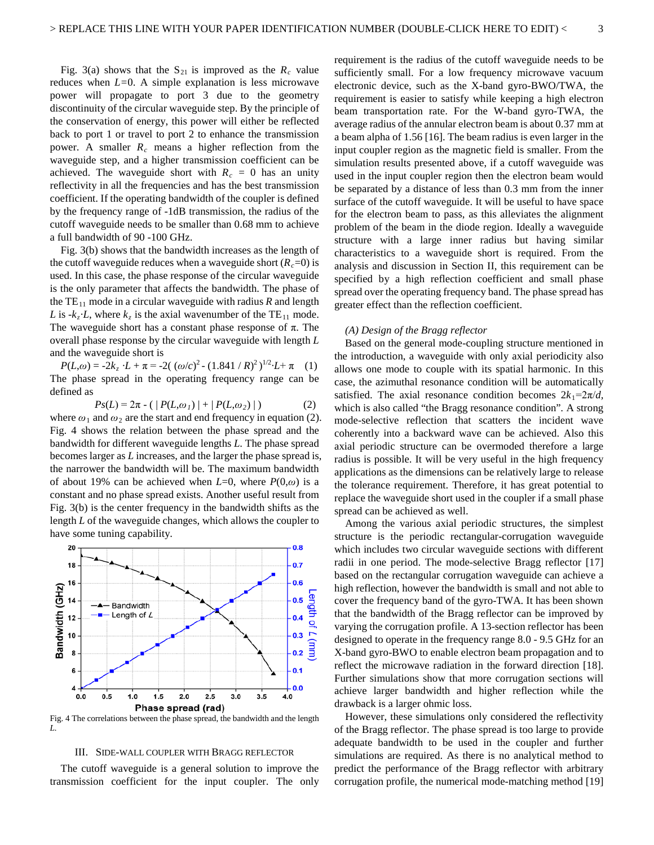Fig. 3(a) shows that the  $S_{21}$  is improved as the  $R_c$  value reduces when *L=*0. A simple explanation is less microwave power will propagate to port 3 due to the geometry discontinuity of the circular waveguide step. By the principle of the conservation of energy, this power will either be reflected back to port 1 or travel to port 2 to enhance the transmission power. A smaller *Rc* means a higher reflection from the waveguide step, and a higher transmission coefficient can be achieved. The waveguide short with  $R_c = 0$  has an unity reflectivity in all the frequencies and has the best transmission coefficient. If the operating bandwidth of the coupler is defined by the frequency range of -1dB transmission, the radius of the cutoff waveguide needs to be smaller than 0.68 mm to achieve a full bandwidth of 90 -100 GHz.

Fig. 3(b) shows that the bandwidth increases as the length of the cutoff waveguide reduces when a waveguide short  $(R<sub>c</sub>=0)$  is used. In this case, the phase response of the circular waveguide is the only parameter that affects the bandwidth. The phase of the  $TE_{11}$  mode in a circular waveguide with radius *R* and length *L* is  $-k_z$  *L*, where  $k_z$  is the axial wavenumber of the TE<sub>11</sub> mode. The waveguide short has a constant phase response of  $\pi$ . The overall phase response by the circular waveguide with length *L* and the waveguide short is

 $P(L, \omega) = -2k_z \cdot L + \pi = -2((\omega/c)^2 - (1.841/R)^2)^{1/2} \cdot L + \pi$  (1) The phase spread in the operating frequency range can be defined as

$$
Ps(L) = 2\pi - (|P(L, \omega_1)| + |P(L, \omega_2)|)
$$
 (2)

where  $\omega_1$  and  $\omega_2$  are the start and end frequency in equation (2). Fig. 4 shows the relation between the phase spread and the bandwidth for different waveguide lengths *L*. The phase spread becomes larger as *L* increases, and the larger the phase spread is, the narrower the bandwidth will be. The maximum bandwidth of about 19% can be achieved when  $L=0$ , where  $P(0,\omega)$  is a constant and no phase spread exists. Another useful result from Fig. 3(b) is the center frequency in the bandwidth shifts as the length *L* of the waveguide changes, which allows the coupler to have some tuning capability.



Fig. 4 The correlations between the phase spread, the bandwidth and the length *L.*

#### III. SIDE-WALL COUPLER WITH BRAGG REFLECTOR

The cutoff waveguide is a general solution to improve the transmission coefficient for the input coupler. The only requirement is the radius of the cutoff waveguide needs to be sufficiently small. For a low frequency microwave vacuum electronic device, such as the X-band gyro-BWO/TWA, the requirement is easier to satisfy while keeping a high electron beam transportation rate. For the W-band gyro-TWA, the average radius of the annular electron beam is about 0.37 mm at a beam alpha of 1.56 [16]. The beam radius is even larger in the input coupler region as the magnetic field is smaller. From the simulation results presented above, if a cutoff waveguide was used in the input coupler region then the electron beam would be separated by a distance of less than 0.3 mm from the inner surface of the cutoff waveguide. It will be useful to have space for the electron beam to pass, as this alleviates the alignment problem of the beam in the diode region. Ideally a waveguide structure with a large inner radius but having similar characteristics to a waveguide short is required. From the analysis and discussion in Section II, this requirement can be specified by a high reflection coefficient and small phase spread over the operating frequency band. The phase spread has greater effect than the reflection coefficient.

## *(A) Design of the Bragg reflector*

Based on the general mode-coupling structure mentioned in the introduction, a waveguide with only axial periodicity also allows one mode to couple with its spatial harmonic. In this case, the azimuthal resonance condition will be automatically satisfied. The axial resonance condition becomes  $2k_1 = 2\pi/d$ , which is also called "the Bragg resonance condition"*.* A strong mode-selective reflection that scatters the incident wave coherently into a backward wave can be achieved. Also this axial periodic structure can be overmoded therefore a large radius is possible. It will be very useful in the high frequency applications as the dimensions can be relatively large to release the tolerance requirement. Therefore, it has great potential to replace the waveguide short used in the coupler if a small phase spread can be achieved as well.

Among the various axial periodic structures, the simplest structure is the periodic rectangular-corrugation waveguide which includes two circular waveguide sections with different radii in one period. The mode-selective Bragg reflector [17] based on the rectangular corrugation waveguide can achieve a high reflection, however the bandwidth is small and not able to cover the frequency band of the gyro-TWA. It has been shown that the bandwidth of the Bragg reflector can be improved by varying the corrugation profile. A 13-section reflector has been designed to operate in the frequency range 8.0 - 9.5 GHz for an X-band gyro-BWO to enable electron beam propagation and to reflect the microwave radiation in the forward direction [18]. Further simulations show that more corrugation sections will achieve larger bandwidth and higher reflection while the drawback is a larger ohmic loss.

However, these simulations only considered the reflectivity of the Bragg reflector. The phase spread is too large to provide adequate bandwidth to be used in the coupler and further simulations are required. As there is no analytical method to predict the performance of the Bragg reflector with arbitrary corrugation profile, the numerical mode-matching method [19]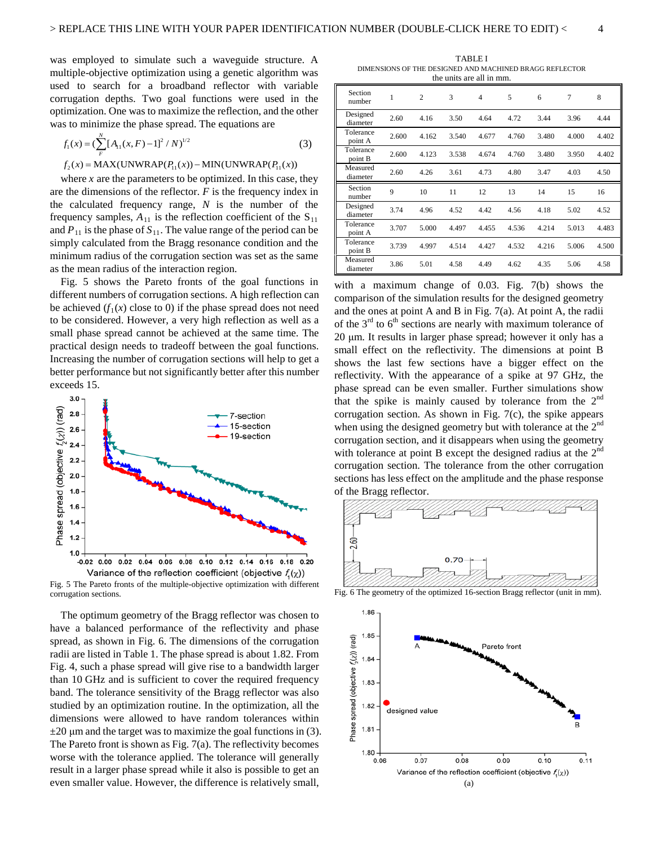was employed to simulate such a waveguide structure. A multiple-objective optimization using a genetic algorithm was used to search for a broadband reflector with variable corrugation depths. Two goal functions were used in the optimization. One was to maximize the reflection, and the other was to minimize the phase spread. The equations are

$$
f_1(x) = \left(\sum_{F}^{N} \left[A_{11}(x, F) - 1\right]^2 / N\right)^{1/2}
$$
 (3)

 $f_2(x) = MAX(UNWRAP(P_{11}(x)) – MIN(UNWRAP(P_{11}(x)))$ 

where *x* are the parameters to be optimized. In this case, they are the dimensions of the reflector. *F* is the frequency index in the calculated frequency range, *N* is the number of the frequency samples,  $A_{11}$  is the reflection coefficient of the  $S_{11}$ and  $P_{11}$  is the phase of  $S_{11}$ . The value range of the period can be simply calculated from the Bragg resonance condition and the minimum radius of the corrugation section was set as the same as the mean radius of the interaction region.

Fig. 5 shows the Pareto fronts of the goal functions in different numbers of corrugation sections. A high reflection can be achieved  $(f_1(x)$  close to 0) if the phase spread does not need to be considered. However, a very high reflection as well as a small phase spread cannot be achieved at the same time. The practical design needs to tradeoff between the goal functions. Increasing the number of corrugation sections will help to get a better performance but not significantly better after this number exceeds 15.



Fig. 5 The Pareto fronts of the multiple-objective optimization with different corrugation sections.

The optimum geometry of the Bragg reflector was chosen to have a balanced performance of the reflectivity and phase spread, as shown in Fig. 6. The dimensions of the corrugation radii are listed in Table 1. The phase spread is about 1.82. From Fig. 4, such a phase spread will give rise to a bandwidth larger than 10 GHz and is sufficient to cover the required frequency band. The tolerance sensitivity of the Bragg reflector was also studied by an optimization routine. In the optimization, all the dimensions were allowed to have random tolerances within  $\pm 20$  μm and the target was to maximize the goal functions in (3). The Pareto front is shown as Fig. 7(a). The reflectivity becomes worse with the tolerance applied. The tolerance will generally result in a larger phase spread while it also is possible to get an even smaller value. However, the difference is relatively small,

TABLE I DIMENSIONS OF THE DESIGNED AND MACHINED BRAGG REFLECTOR the units are all in mm.

| Section<br>number    | 1     | $\overline{2}$ | 3     | $\overline{4}$ | 5     | 6     | 7     | 8     |
|----------------------|-------|----------------|-------|----------------|-------|-------|-------|-------|
| Designed<br>diameter | 2.60  | 4.16           | 3.50  | 4.64           | 4.72  | 3.44  | 3.96  | 4.44  |
| Tolerance<br>point A | 2.600 | 4.162          | 3.540 | 4.677          | 4.760 | 3.480 | 4.000 | 4.402 |
| Tolerance<br>point B | 2.600 | 4.123          | 3.538 | 4.674          | 4.760 | 3.480 | 3.950 | 4.402 |
| Measured<br>diameter | 2.60  | 4.26           | 3.61  | 4.73           | 4.80  | 3.47  | 4.03  | 4.50  |
| Section<br>number    | 9     | 10             | 11    | 12             | 13    | 14    | 15    | 16    |
| Designed<br>diameter | 3.74  | 4.96           | 4.52  | 4.42           | 4.56  | 4.18  | 5.02  | 4.52  |
| Tolerance<br>point A | 3.707 | 5.000          | 4.497 | 4.455          | 4.536 | 4.214 | 5.013 | 4.483 |
| Tolerance<br>point B | 3.739 | 4.997          | 4.514 | 4.427          | 4.532 | 4.216 | 5.006 | 4.500 |
| Measured<br>diameter | 3.86  | 5.01           | 4.58  | 4.49           | 4.62  | 4.35  | 5.06  | 4.58  |

with a maximum change of 0.03. Fig. 7(b) shows the comparison of the simulation results for the designed geometry and the ones at point A and B in Fig. 7(a). At point A, the radii of the  $3<sup>rd</sup>$  to  $6<sup>th</sup>$  sections are nearly with maximum tolerance of 20 μm. It results in larger phase spread; however it only has a small effect on the reflectivity. The dimensions at point B shows the last few sections have a bigger effect on the reflectivity. With the appearance of a spike at 97 GHz, the phase spread can be even smaller. Further simulations show that the spike is mainly caused by tolerance from the  $2<sup>nd</sup>$ corrugation section. As shown in Fig. 7(c), the spike appears when using the designed geometry but with tolerance at the  $2<sup>nd</sup>$ corrugation section, and it disappears when using the geometry with tolerance at point B except the designed radius at the  $2<sup>na</sup>$ corrugation section. The tolerance from the other corrugation sections has less effect on the amplitude and the phase response of the Bragg reflector.



Fig. 6 The geometry of the optimized 16-section Bragg reflector (unit in mm).

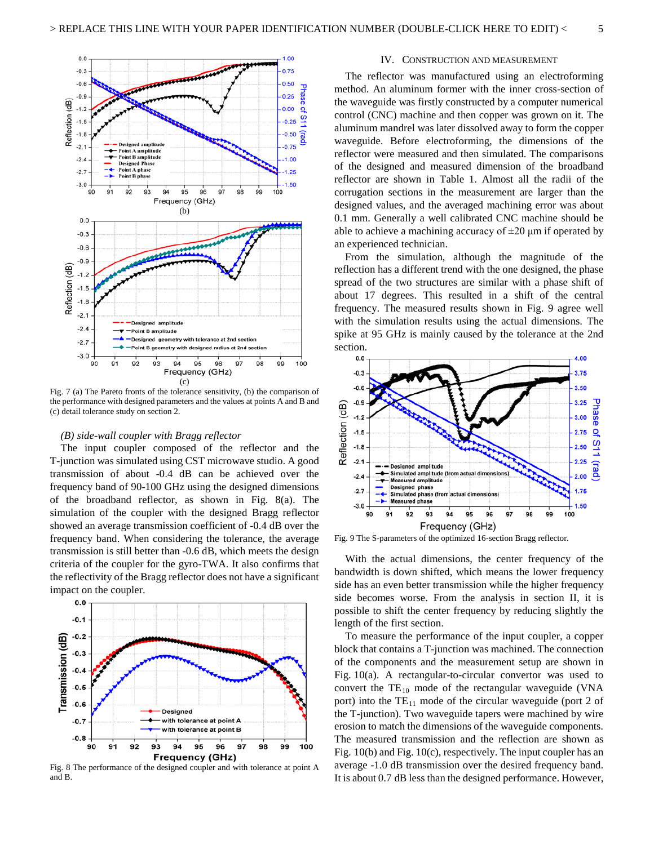

Fig. 7 (a) The Pareto fronts of the tolerance sensitivity, (b) the comparison of the performance with designed parameters and the values at points A and B and (c) detail tolerance study on section 2.

## *(B) side-wall coupler with Bragg reflector*

The input coupler composed of the reflector and the T-junction was simulated using CST microwave studio. A good transmission of about -0.4 dB can be achieved over the frequency band of 90-100 GHz using the designed dimensions of the broadband reflector, as shown in Fig. 8(a). The simulation of the coupler with the designed Bragg reflector showed an average transmission coefficient of -0.4 dB over the frequency band. When considering the tolerance, the average transmission is still better than -0.6 dB, which meets the design criteria of the coupler for the gyro-TWA. It also confirms that the reflectivity of the Bragg reflector does not have a significant impact on the coupler.



Fig. 8 The performance of the designed coupler and with tolerance at point A and B.

## IV. CONSTRUCTION AND MEASUREMENT

The reflector was manufactured using an electroforming method. An aluminum former with the inner cross-section of the waveguide was firstly constructed by a computer numerical control (CNC) machine and then copper was grown on it. The aluminum mandrel was later dissolved away to form the copper waveguide. Before electroforming, the dimensions of the reflector were measured and then simulated. The comparisons of the designed and measured dimension of the broadband reflector are shown in Table 1. Almost all the radii of the corrugation sections in the measurement are larger than the designed values, and the averaged machining error was about 0.1 mm. Generally a well calibrated CNC machine should be able to achieve a machining accuracy of  $\pm 20$  µm if operated by an experienced technician.

From the simulation, although the magnitude of the reflection has a different trend with the one designed, the phase spread of the two structures are similar with a phase shift of about 17 degrees. This resulted in a shift of the central frequency. The measured results shown in Fig. 9 agree well with the simulation results using the actual dimensions. The spike at 95 GHz is mainly caused by the tolerance at the 2nd section.



Fig. 9 The S-parameters of the optimized 16-section Bragg reflector.

With the actual dimensions, the center frequency of the bandwidth is down shifted, which means the lower frequency side has an even better transmission while the higher frequency side becomes worse. From the analysis in section II, it is possible to shift the center frequency by reducing slightly the length of the first section.

To measure the performance of the input coupler, a copper block that contains a T-junction was machined. The connection of the components and the measurement setup are shown in Fig. 10(a). A rectangular-to-circular convertor was used to convert the  $TE_{10}$  mode of the rectangular waveguide (VNA port) into the  $TE_{11}$  mode of the circular waveguide (port 2 of the T-junction). Two waveguide tapers were machined by wire erosion to match the dimensions of the waveguide components. The measured transmission and the reflection are shown as Fig. 10(b) and Fig. 10(c), respectively. The input coupler has an average -1.0 dB transmission over the desired frequency band. It is about 0.7 dB less than the designed performance. However,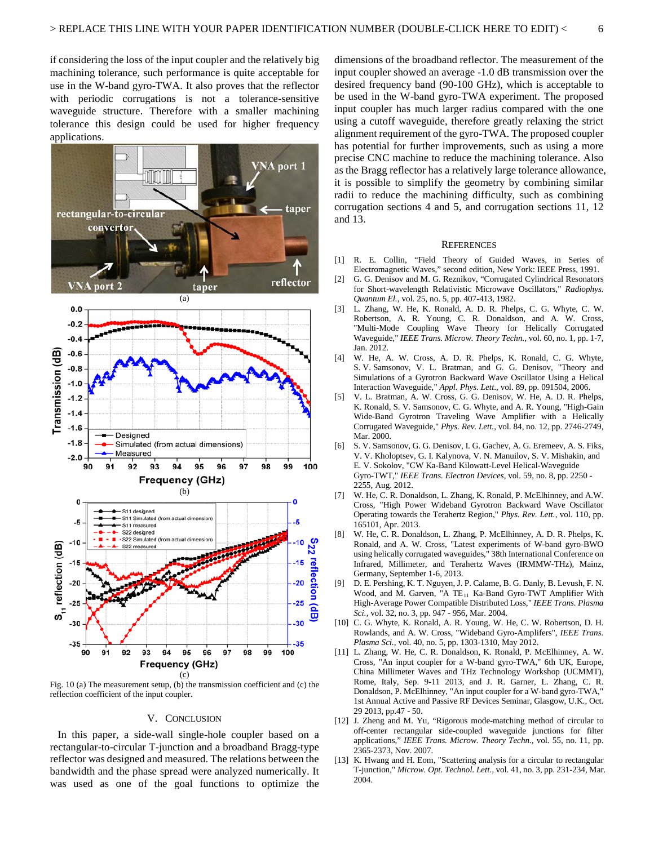if considering the loss of the input coupler and the relatively big machining tolerance, such performance is quite acceptable for use in the W-band gyro-TWA. It also proves that the reflector with periodic corrugations is not a tolerance-sensitive waveguide structure. Therefore with a smaller machining tolerance this design could be used for higher frequency applications.



Fig. 10 (a) The measurement setup, (b) the transmission coefficient and (c) the reflection coefficient of the input coupler.

## V. CONCLUSION

In this paper, a side-wall single-hole coupler based on a rectangular-to-circular T-junction and a broadband Bragg-type reflector was designed and measured. The relations between the bandwidth and the phase spread were analyzed numerically. It was used as one of the goal functions to optimize the

dimensions of the broadband reflector. The measurement of the input coupler showed an average -1.0 dB transmission over the desired frequency band (90-100 GHz), which is acceptable to be used in the W-band gyro-TWA experiment. The proposed input coupler has much larger radius compared with the one using a cutoff waveguide, therefore greatly relaxing the strict alignment requirement of the gyro-TWA. The proposed coupler has potential for further improvements, such as using a more precise CNC machine to reduce the machining tolerance. Also as the Bragg reflector has a relatively large tolerance allowance, it is possible to simplify the geometry by combining similar radii to reduce the machining difficulty, such as combining corrugation sections 4 and 5, and corrugation sections 11, 12 and 13.

## **REFERENCES**

- [1] R. E. Collin, "Field Theory of Guided Waves, in Series of Electromagnetic Waves," second edition, New York: IEEE Press, 1991.
- [2] G. G. Denisov and M. G. Reznikov, "Corrugated Cylindrical Resonators for Short-wavelength Relativistic Microwave Oscillators," *Radiophys. Quantum El.*, vol. 25, no. 5, pp. 407-413, 1982.
- [3] L. Zhang, W. He, K. Ronald, A. D. R. Phelps, C. G. Whyte, C. W. Robertson, A. R. Young, C. R. Donaldson, and A. W. Cross, "Multi-Mode Coupling Wave Theory for Helically Corrugated Waveguide," *IEEE Trans. Microw. Theory Techn.,* vol. 60, no. 1, pp. 1-7, Jan. 2012.
- [4] W. He, A. W. Cross, A. D. R. Phelps, K. Ronald, C. G. Whyte, S. V. Samsonov, V. L. Bratman, and G. G. Denisov, "Theory and Simulations of a Gyrotron Backward Wave Oscillator Using a Helical Interaction Waveguide," *Appl. Phys. Lett*., vol. 89, pp. 091504, 2006.
- [5] V. L. Bratman, A. W. Cross, G. G. Denisov, W. He, A. D. R. Phelps, K. Ronald, S. V. Samsonov, C. G. Whyte, and A. R. Young, "High-Gain Wide-Band Gyrotron Traveling Wave Amplifier with a Helically Corrugated Waveguide," *Phys. Rev. Lett.*, vol. 84, no. 12, pp. 2746-2749, Mar. 2000.
- [6] S. V. Samsonov, G. G. Denisov, I. G. Gachev, A. G. Eremeev, A. S. Fiks, V. V. Kholoptsev, G. I. Kalynova, V. N. Manuilov, S. V. Mishakin, and E. V. Sokolov, "CW Ka-Band Kilowatt-Level Helical-Waveguide Gyro-TWT," *IEEE Trans. Electron Devices*, vol. 59, no. 8, pp. 2250 - 2255, Aug. 2012.
- [7] W. He, C. R. Donaldson, L. Zhang, K. Ronald, P. McElhinney, and A.W. Cross, "High Power Wideband Gyrotron Backward Wave Oscillator Operating towards the Terahertz Region," *Phys. Rev. Lett.*, vol. 110, pp. 165101, Apr. 2013.
- [8] W. He, C. R. Donaldson, L. Zhang, P. McElhinney, A. D. R. Phelps, K. Ronald, and A. W. Cross, "Latest experiments of W-band gyro-BWO using helically corrugated waveguides," 38th International Conference on Infrared, Millimeter, and Terahertz Waves (IRMMW-THz), Mainz, Germany, September 1-6, 2013.
- [9] D. E. Pershing, K. T. Nguyen, J. P. Calame, B. G. Danly, B. Levush, F. N. Wood, and M. Garven, "A TE<sub>11</sub> Ka-Band Gyro-TWT Amplifier With High-Average Power Compatible Distributed Loss," *IEEE Trans. Plasma Sci.,* vol. 32, no. 3, pp. 947 - 956, Mar. 2004.
- [10] C. G. Whyte, K. Ronald, A. R. Young, W. He, C. W. Robertson, D. H. Rowlands, and A. W. Cross, "Wideband Gyro-Amplifers", *IEEE Trans. Plasma Sci.,* vol. 40, no. 5, pp. 1303-1310, May 2012.
- [11] L. Zhang, W. He, C. R. Donaldson, K. Ronald, P. McElhinney, A. W. Cross, "An input coupler for a W-band gyro-TWA," 6th UK, Europe, China Millimeter Waves and THz Technology Workshop (UCMMT), Rome, Italy, Sep. 9-11 2013, and J. R. Garner, L. Zhang, C. R. Donaldson, P. McElhinney, "An input coupler for a W-band gyro-TWA," 1st Annual Active and Passive RF Devices Seminar, Glasgow, U.K., Oct. 29 2013, pp.47 - 50.
- [12] J. Zheng and M. Yu, "Rigorous mode-matching method of circular to off-center rectangular side-coupled waveguide junctions for filter applications," *IEEE Trans. Microw. Theory Techn.,* vol. 55, no. 11, pp. 2365-2373, Nov. 2007.
- [13] K. Hwang and H. Eom, "Scattering analysis for a circular to rectangular T-junction," *Microw. Opt. Technol. Lett*., vol. 41, no. 3, pp. 231-234, Mar. 2004.